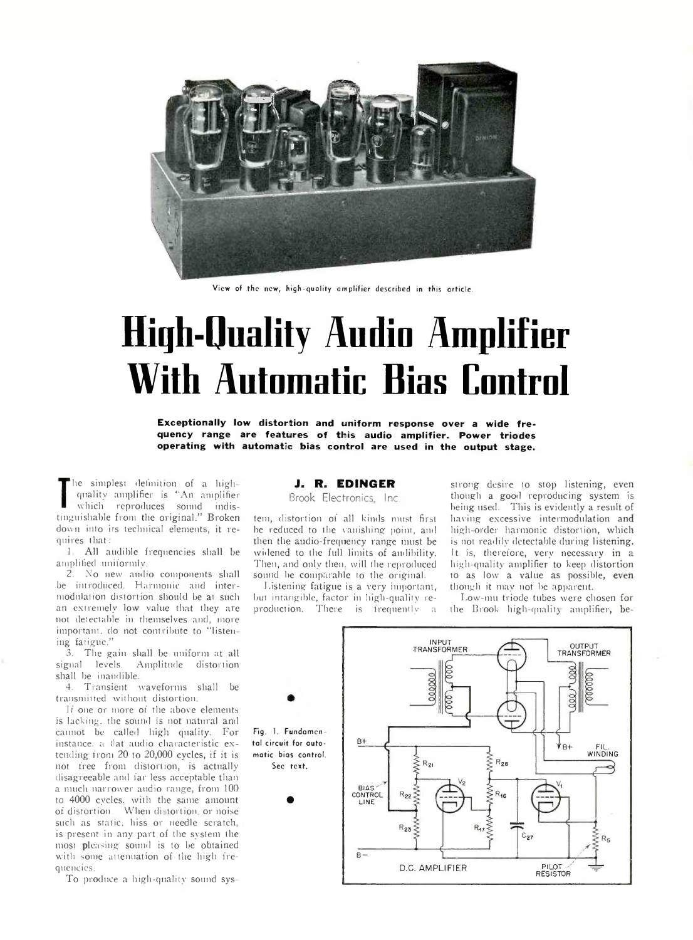

View of the new, high-quality amplifier described in this article.

# High-Quality **Audio Amplifier With Automatic Bias Control**

**Exceptionally low distortion and uniform response over a wide frequency range are features of this audio amplifier. Power triodes operating with automatic bias control are used in the output stage.**

which reproduces sound indistinguishable from the original." Broken he simplest definition of a highquality amplifier is "An amplifier which reproduces sound indisdown into its technical elements, it requires that:

1 All audible frequencies shall be amplified uniformly.

2. No new audio components shall be introduced. Harmonic and intermodulation distortion should be at such an extremely low value that they are not detectable in themselves and, more important, do not contribute to "listen ing fatigue."

3. The gain shall be uniform at all signal levels. Amplitude distortion shall be inaudible.

4. Transient waveforms shall be transmitted without distortion.

If one or more of the above elements is lacking, the sound is not natural and cannot be called high quality. For instance, a llat audio characteristic extending from 20 to 20,000 cycles, if it is not free from distortion, is actually disagreeable and far less acceptable than a much narrower audio range, from 100 to 4000 cycles, with the same amount of distortion. When distortion or noise such as static, hiss or needle scratch is present in any part of the system the most pleasing sound is to be obtained with some attenuation of the high frequencies.

To produce a high-quality sound sys

### J. R. EDINGER

Brook Electronics Inc.

tem, distortion of all kinds must first be reduced to the vanishing point, and then the audio-frequency range must be widened to the full limits of audibility. Then, and only then, will the reproduced sound be comparable to the original.

Listening fatigue is a very important, but intangible, factor in high-quality reproduction. There is frequently a

strong desire to stop listening, even though a good reproducing system is being used. This is evidently a result of having excessive intermodulation and high-order harmonic distortion, which is not readily detectable during listening. It is, therefore, very necessary in a high-quality amplifier to keep distortion to as low a value as possible, even though it may not be apparent.

Low-mu triode tubes were chosen for the Brook high-quality amplifier, be-

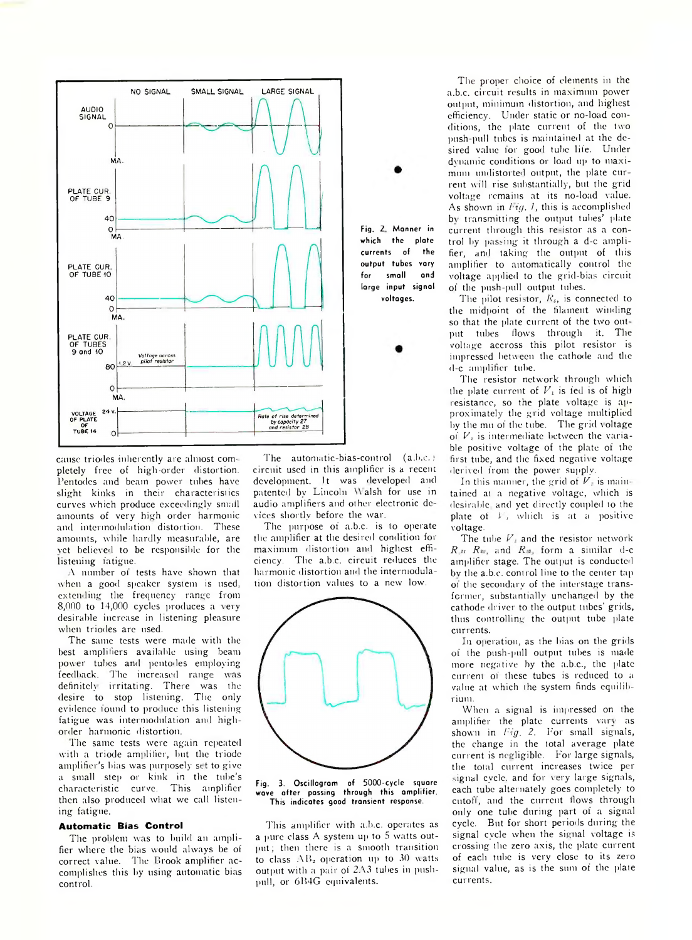

cause triodes inherently are almost completely free of high-order distortion. Pentodes and beam power tubes have slight kinks in their characteristics curves which produce exceedingly small amounts of very high order harmonic and intennodulntion distortion. These amounts, while hardly measurable, are vet believed to be responsible for the listening fatigue.

A number 01 tests have shown that when a good speaker system is used, extending the frequency range from 8,000 to 14,000 cycles produces a very desirable increase in listening pleasure when triodes are used.

The same tests were made with the best amplifiers available using beam power tubes and pentodes employing feedback. The increased range was definitely irritating. There was the desire to stop listening. The only evidence found to produce this listening fatigue was intermodulation and highorder harmonic distortion.

The same tests were again repeated with a triode amplifier, but the triode amplifier's bias was purposely set to give a small step or kink in the tube's characteristic curve. This amplifier then also produced what we call listening fatigue.

#### **Automatic Bias Control**

The problem was to build an amplifier where the bias would always be of correct value. I'he Brook amplifier accomplishes this by using automatic bias control.

The automatic-bias-control (a.b.c.) circuit used in this amplifier is a recent development. It was developed and patented by Lincoln \\ alsh for use in audio amplifiers and other electronic de vices shortly before the war.

voltages.

The purpose of a.b.c. is lo operate the amplifier at the desired condition for maximum distortion and highest efficiency. The a.b.c. circuit reduces the harmonic distortion and the intermodulation distortion values to a new low.



Fig. 3. Oscillogram of 5000-cycle square after passing through this amplifier. This indicates good transient response.

This amplifier with a.b.c. operates as a pure class A system up to 5 watts output; then there is a smooth transition to class  $AB_2$  operation up to 30 watts output with a pair of 2A3 tubes in pushpull, or 6B4G equivalents.

The proper choice of elements in the a.b.c. circuit results in maximum power output, minimum distortion, and highest efficiency. Under static or no-load conditions, the plate current of the two push-pull tubes is maintained at the desired value for good tube life. Under dvnamic conditions or load up to maximum undistorted output, the plate current will rise substantially, but the grid voltage remains at its no-load value. As shown in *Fig. 1*, this is accomplished bv transmitting the output tubes' plate current through this re-istor as a control by passing it through a d-c amplifier, and taking the output of this amplifier to automatically control the voltage applied to the grid-bias circuit of the push-pull output tubes.

The pilot resistor, *Rs,* is connected to the midpoint of the filament winding so that the plate current of the two out put tubes Hows through it. The voltage accross this pilot resistor is impressed between the cathode and the d-c amplifier tube.

The resistor network through which the plate current of  $V_1$  is fed is of high resistance, so the plate voltage is approximately the grid voltage multiplied by the mu of the tube. The grid voltage of  $V_i$  is intermediate between the variable positive voltage of the plate of the first tube, and the fixed negative voltage derived from the power supply.

In this manner, the grid of  $V$  is maintained at a negative voltage, which is desirable, and yet directly coupled to the plate of *V,* which is at a- positive voltage.

The tube  $V_i$  and the resistor network  $R_{.21}$   $R_{\text{es}}$  and  $R_{.3}$  form a similar d-c amplifier stage. The output is conducted bv the a.b.c. control line to the center tap of the secondary of the interstage transformer, substantially unchanged by the cathode driver to the output tubes' grids, thus controlling the output tube plate currents.

In operation, as the bias on the grids of the push-pull output tubes is made more negative by the a.b.c., the plate current of these tubes is reduced to a value at which the system finds equilibrium.

When a signal is impressed on the amplifier the plate currents vary as shown in *Fig. 2*. For small signals, the change in the total average plate current is negligible. For large signals, the total current increases twice per signal cycle, and for very large signals, each tube alternately goes completely to cutoff, and the current flows through only one tube during part of a signal cycle. But for short periods during the signal cycle when the signal voltage is crossing the zero axis, the plate current of each tube is very close to its zero signal value, as is the sum of the plate currents.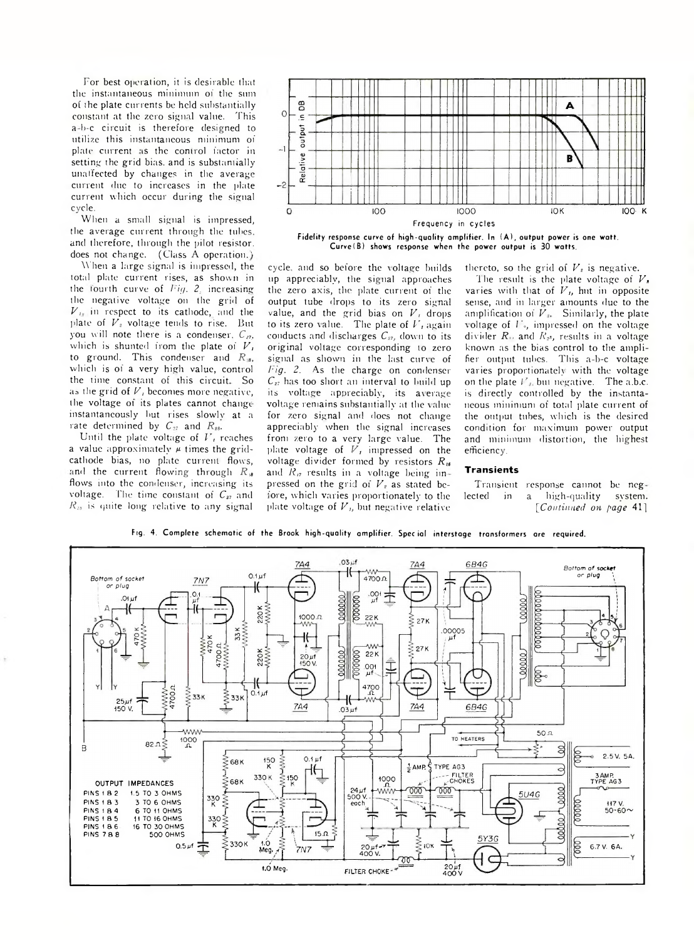For best operation, it is desirable that the instantaneous minimum of the sum of the plate currents be held substantially constant at the zero signal value. This a-b-c circuit is therefore designed to utilize this instantaneous minimum of plate current is the control factor in setting the grid bias, and is substantially unaffected by changes in the average current due to increases in the plate current which occur during the signal cycle.

When a small signal is impressed, the average current through the tubes, and therefore, through the pilot resistor, does not change. (Class A operation.)

When a large signal is impressed, the total plate current rises, as shown in the lourth curve of *Fig. 2*, increasing the negative voltage on the grid of *V,* in respect to its cathode, and the plate of  $V<sub>z</sub>$  voltage tends to rise. But you will note there is a condenser.  $C_{27}$ , which is shunted from the plate of *V,* to ground. This condenser and  $R_{\text{B}}$ , which is of a very high value, control the time constant of this circuit.. So as the grid of  $V_i$  becomes more negative, the voltage oi its plates cannot change instantaneously but rises slowlv at a rate determined by  $C_{27}$  and  $R_{28}$ .

Until the plate voltage of *V,* reaches a value approximately  $\mu$  times the gridcathode bias, no plate current flows, ind the current flowing through *R ia* flows into the condenser, increasing its voltage. The time constant of  $C_{27}$  and  $R_{28}$  is quite long relative to any signal



Fidelity response curve of high-quality amplifier. In (A), output power is one watt. Curve (B) shows response when the power output is 30 watts.

cycle, and so before the voltage builds up appreciably, the signal approaches the zero axis, the plate current of the output tube drops to its zero signal value, and the grid bias on  $V_i$ , drops to its zero value. The plale of *V ,* again conducts and discharges  $C_{27}$ , down to its original voltage corresponding to zero signal as shown in the last curve of *J'ig. 2.* As the charge on condenser  $C_{27}$  has too short an interval to build up its voltage appreciably, its average voltage remains substantially at the value for zero signal and does not change appreciably when the signal increases from zero to a very large value. The plate voltage of *V,* impressed on the voltage divider formed by resistors  $R_{16}$ and  $R_{\eta}$  results in a voltage being impressed on the grid of  $V<sub>z</sub>$  as stated before, which varies proportionately to the plate voltage of *V ,,* but negative relative

The result is the plate voltage of *V,* varies with that of  $V<sub>t</sub>$ , hut in opposite sense, and in larger amounts due to the amplification of  $V<sub>n</sub>$ . Similarly, the plate voltage of *I*<sub>b</sub>, impressed on the voltage divider *R,,* and *R,s,* results in a voltage known as the bias control to the amplifier output tubes. This a-b-c voltage varies proportionately with the voltage on the plate  $l'$ <sub>*i*</sub> but negative. The a.b.c. is directly controlled by the instantaneous minimum of total plate current of the output tubes, which is the desired condition for maximum power output and minimum distortion, the highest

thereto, so the grid of  $V<sub>i</sub>$  is negative.

#### **Transients**

efficiency.

Transient response cannot be neg lected in a high-quality system. *[Continued on page* 41]